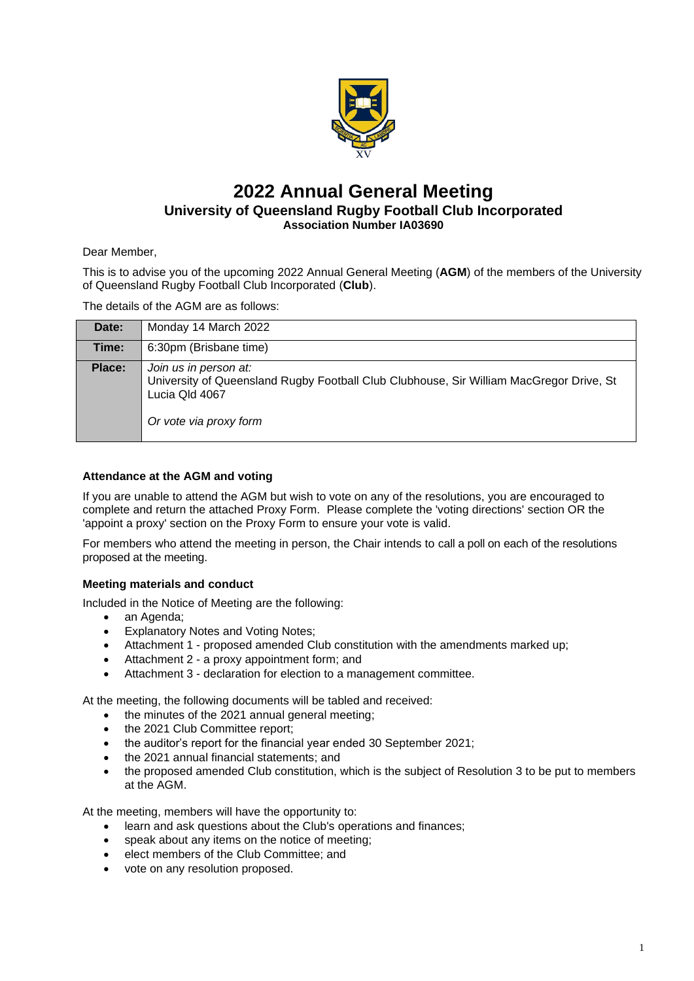

# **2022 Annual General Meeting University of Queensland Rugby Football Club Incorporated Association Number IA03690**

Dear Member,

This is to advise you of the upcoming 2022 Annual General Meeting (**AGM**) of the members of the University of Queensland Rugby Football Club Incorporated (**Club**).

The details of the AGM are as follows:

| Date:  | Monday 14 March 2022                                                                                                                                         |
|--------|--------------------------------------------------------------------------------------------------------------------------------------------------------------|
| Time:  | 6:30pm (Brisbane time)                                                                                                                                       |
| Place: | Join us in person at:<br>University of Queensland Rugby Football Club Clubhouse, Sir William MacGregor Drive, St<br>Lucia Qld 4067<br>Or vote via proxy form |

### **Attendance at the AGM and voting**

If you are unable to attend the AGM but wish to vote on any of the resolutions, you are encouraged to complete and return the attached Proxy Form. Please complete the 'voting directions' section OR the 'appoint a proxy' section on the Proxy Form to ensure your vote is valid.

For members who attend the meeting in person, the Chair intends to call a poll on each of the resolutions proposed at the meeting.

### **Meeting materials and conduct**

Included in the Notice of Meeting are the following:

- an Agenda;
- Explanatory Notes and Voting Notes;
- Attachment 1 proposed amended Club constitution with the amendments marked up;
- Attachment 2 a proxy appointment form; and
- Attachment 3 declaration for election to a management committee.

At the meeting, the following documents will be tabled and received:

- the minutes of the 2021 annual general meeting;
- the 2021 Club Committee report;
- the auditor's report for the financial year ended 30 September 2021:
- the 2021 annual financial statements; and
- the proposed amended Club constitution, which is the subject of Resolution 3 to be put to members at the AGM.

At the meeting, members will have the opportunity to:

- learn and ask questions about the Club's operations and finances;
- speak about any items on the notice of meeting;
- elect members of the Club Committee; and
- vote on any resolution proposed.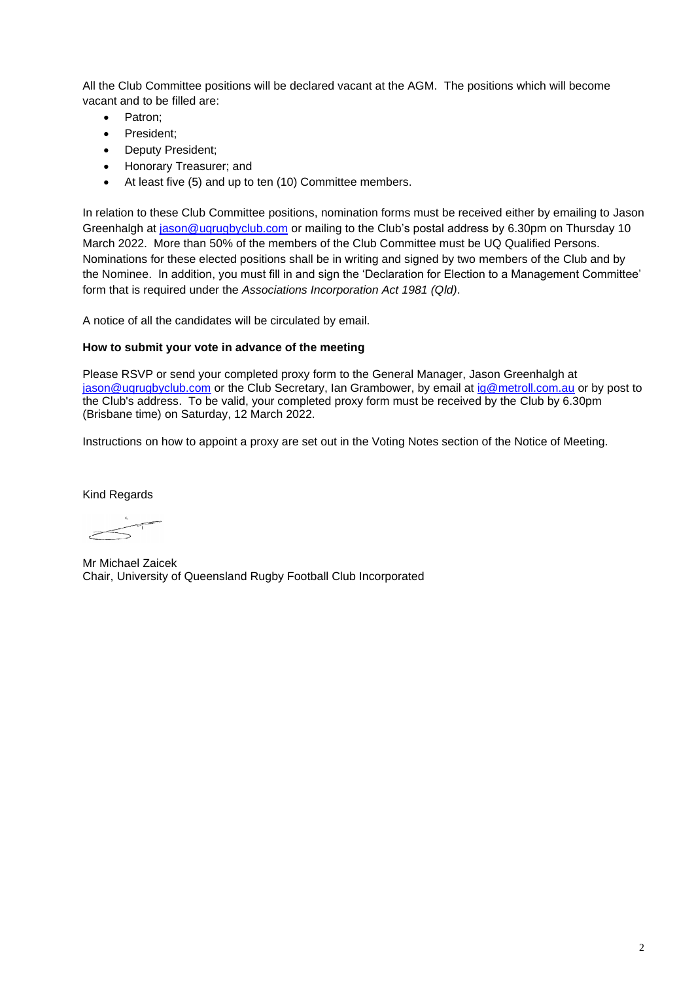All the Club Committee positions will be declared vacant at the AGM. The positions which will become vacant and to be filled are:

- Patron:
- President;
- Deputy President;
- Honorary Treasurer; and
- At least five (5) and up to ten (10) Committee members.

In relation to these Club Committee positions, nomination forms must be received either by emailing to Jason Greenhalgh at [jason@uqrugbyclub.com](mailto:jason@uqrugbyclub.com) or mailing to the Club's postal address by 6.30pm on Thursday 10 March 2022. More than 50% of the members of the Club Committee must be UQ Qualified Persons. Nominations for these elected positions shall be in writing and signed by two members of the Club and by the Nominee. In addition, you must fill in and sign the 'Declaration for Election to a Management Committee' form that is required under the *Associations Incorporation Act 1981 (Qld)*.

A notice of all the candidates will be circulated by email.

### **How to submit your vote in advance of the meeting**

Please RSVP or send your completed proxy form to the General Manager, Jason Greenhalgh at [jason@uqrugbyclub.com](mailto:jason@uqrugbyclub.com) or the Club Secretary, Ian Grambower, by email at [ig@metroll.com.au](mailto:ig@metroll.com.au) or by post to the Club's address. To be valid, your completed proxy form must be received by the Club by 6.30pm (Brisbane time) on Saturday, 12 March 2022.

Instructions on how to appoint a proxy are set out in the Voting Notes section of the Notice of Meeting.

Kind Regards

Mr Michael Zaicek Chair, University of Queensland Rugby Football Club Incorporated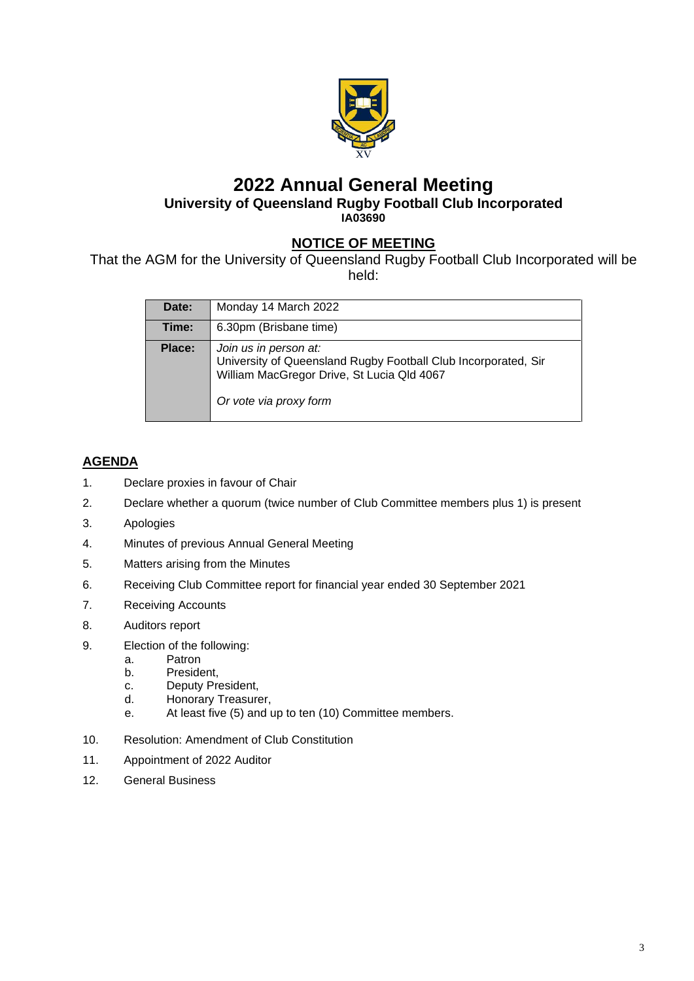

# **2022 Annual General Meeting University of Queensland Rugby Football Club Incorporated IA03690**

# **NOTICE OF MEETING**

That the AGM for the University of Queensland Rugby Football Club Incorporated will be held:

| Date:  | Monday 14 March 2022                                                                                                                                            |
|--------|-----------------------------------------------------------------------------------------------------------------------------------------------------------------|
| Time:  | 6.30pm (Brisbane time)                                                                                                                                          |
| Place: | Join us in person at:<br>University of Queensland Rugby Football Club Incorporated, Sir<br>William MacGregor Drive, St Lucia Qld 4067<br>Or vote via proxy form |

# **AGENDA**

- 1. Declare proxies in favour of Chair
- 2. Declare whether a quorum (twice number of Club Committee members plus 1) is present
- 3. Apologies
- 4. Minutes of previous Annual General Meeting
- 5. Matters arising from the Minutes
- 6. Receiving Club Committee report for financial year ended 30 September 2021
- 7. Receiving Accounts
- 8. Auditors report
- 9. Election of the following:
	- a. Patron
	- b. President,
	- c. Deputy President,
	- d. Honorary Treasurer,
	- e. At least five (5) and up to ten (10) Committee members.
- 10. Resolution: Amendment of Club Constitution
- 11. Appointment of 2022 Auditor
- 12. General Business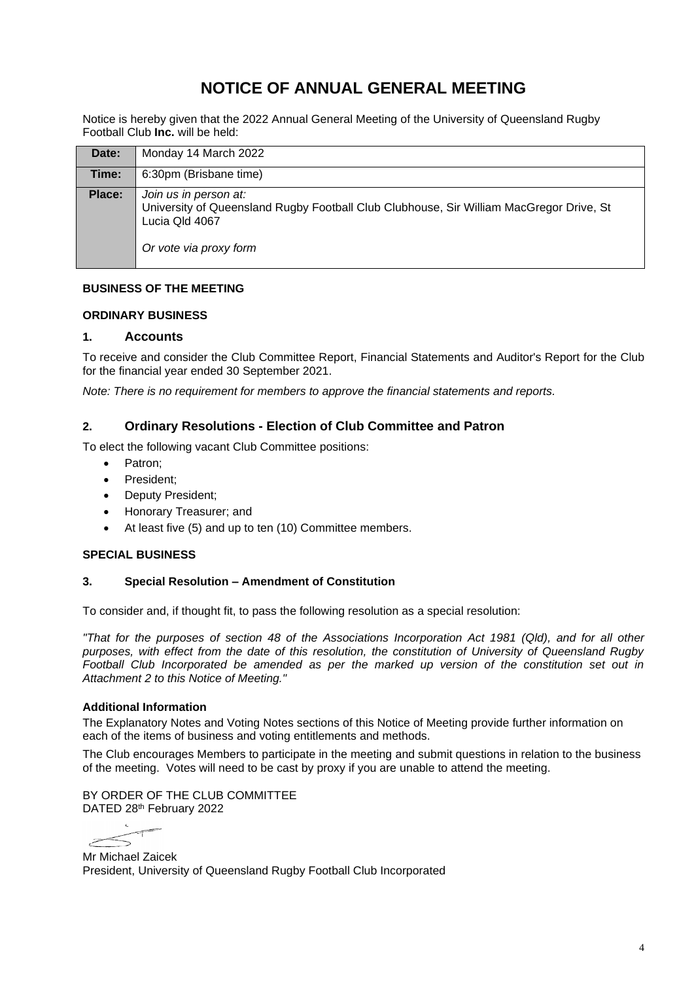# **NOTICE OF ANNUAL GENERAL MEETING**

Notice is hereby given that the 2022 Annual General Meeting of the University of Queensland Rugby Football Club **Inc.** will be held:

| Date:  | Monday 14 March 2022                                                                                                                                         |
|--------|--------------------------------------------------------------------------------------------------------------------------------------------------------------|
| Time:  | 6:30pm (Brisbane time)                                                                                                                                       |
| Place: | Join us in person at:<br>University of Queensland Rugby Football Club Clubhouse, Sir William MacGregor Drive, St<br>Lucia Qld 4067<br>Or vote via proxy form |

### **BUSINESS OF THE MEETING**

### **ORDINARY BUSINESS**

### **1. Accounts**

To receive and consider the Club Committee Report, Financial Statements and Auditor's Report for the Club for the financial year ended 30 September 2021.

*Note: There is no requirement for members to approve the financial statements and reports.*

### **2. Ordinary Resolutions - Election of Club Committee and Patron**

To elect the following vacant Club Committee positions:

- Patron:
- President;
- Deputy President;
- Honorary Treasurer; and
- At least five (5) and up to ten (10) Committee members.

### **SPECIAL BUSINESS**

#### **3. Special Resolution – Amendment of Constitution**

To consider and, if thought fit, to pass the following resolution as a special resolution:

*"That for the purposes of section 48 of the Associations Incorporation Act 1981 (Qld), and for all other purposes, with effect from the date of this resolution, the constitution of University of Queensland Rugby Football Club Incorporated be amended as per the marked up version of the constitution set out in Attachment 2 to this Notice of Meeting."*

#### **Additional Information**

The Explanatory Notes and Voting Notes sections of this Notice of Meeting provide further information on each of the items of business and voting entitlements and methods.

The Club encourages Members to participate in the meeting and submit questions in relation to the business of the meeting. Votes will need to be cast by proxy if you are unable to attend the meeting.

BY ORDER OF THE CLUB COMMITTEE DATED 28th February 2022

 $\lesssim$ 

Mr Michael Zaicek President, University of Queensland Rugby Football Club Incorporated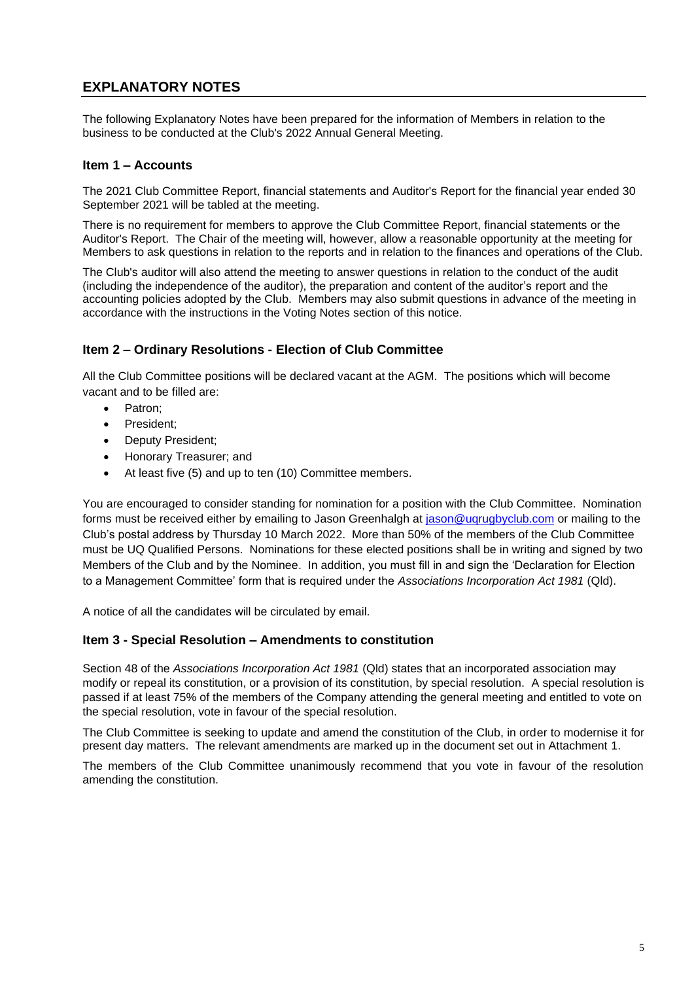# **EXPLANATORY NOTES**

The following Explanatory Notes have been prepared for the information of Members in relation to the business to be conducted at the Club's 2022 Annual General Meeting.

## **Item 1 – Accounts**

The 2021 Club Committee Report, financial statements and Auditor's Report for the financial year ended 30 September 2021 will be tabled at the meeting.

There is no requirement for members to approve the Club Committee Report, financial statements or the Auditor's Report. The Chair of the meeting will, however, allow a reasonable opportunity at the meeting for Members to ask questions in relation to the reports and in relation to the finances and operations of the Club.

The Club's auditor will also attend the meeting to answer questions in relation to the conduct of the audit (including the independence of the auditor), the preparation and content of the auditor's report and the accounting policies adopted by the Club. Members may also submit questions in advance of the meeting in accordance with the instructions in the Voting Notes section of this notice.

# **Item 2 – Ordinary Resolutions - Election of Club Committee**

All the Club Committee positions will be declared vacant at the AGM. The positions which will become vacant and to be filled are:

- Patron;
- President;
- Deputy President;
- Honorary Treasurer; and
- At least five (5) and up to ten (10) Committee members.

You are encouraged to consider standing for nomination for a position with the Club Committee. Nomination forms must be received either by emailing to Jason Greenhalgh at [jason@uqrugbyclub.com](mailto:jason@uqrugbyclub.com) or mailing to the Club's postal address by Thursday 10 March 2022. More than 50% of the members of the Club Committee must be UQ Qualified Persons. Nominations for these elected positions shall be in writing and signed by two Members of the Club and by the Nominee. In addition, you must fill in and sign the 'Declaration for Election to a Management Committee' form that is required under the *Associations Incorporation Act 1981* (Qld).

A notice of all the candidates will be circulated by email.

### **Item 3 - Special Resolution – Amendments to constitution**

Section 48 of the *Associations Incorporation Act 1981* (Qld) states that an incorporated association may modify or repeal its constitution, or a provision of its constitution, by special resolution. A special resolution is passed if at least 75% of the members of the Company attending the general meeting and entitled to vote on the special resolution, vote in favour of the special resolution.

The Club Committee is seeking to update and amend the constitution of the Club, in order to modernise it for present day matters. The relevant amendments are marked up in the document set out in Attachment 1.

The members of the Club Committee unanimously recommend that you vote in favour of the resolution amending the constitution.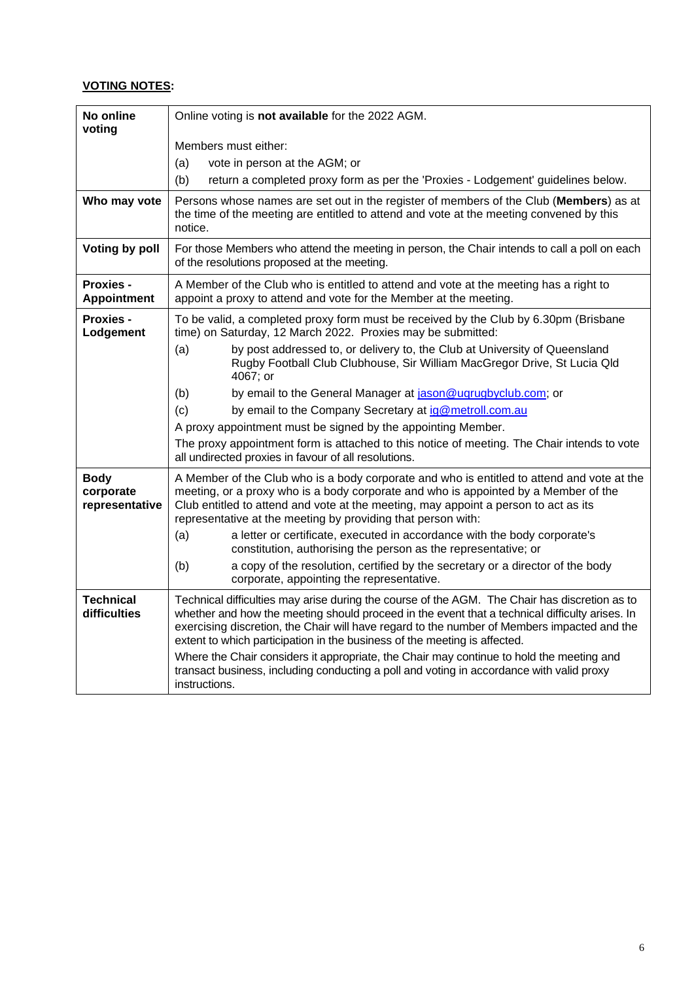# **VOTING NOTES:**

| No online<br>voting                        | Online voting is not available for the 2022 AGM.                                                                                                                                                                                                                                                                                                                            |  |  |
|--------------------------------------------|-----------------------------------------------------------------------------------------------------------------------------------------------------------------------------------------------------------------------------------------------------------------------------------------------------------------------------------------------------------------------------|--|--|
|                                            | Members must either:                                                                                                                                                                                                                                                                                                                                                        |  |  |
|                                            | (a)<br>vote in person at the AGM; or                                                                                                                                                                                                                                                                                                                                        |  |  |
|                                            | (b)<br>return a completed proxy form as per the 'Proxies - Lodgement' guidelines below.                                                                                                                                                                                                                                                                                     |  |  |
| Who may vote                               | Persons whose names are set out in the register of members of the Club (Members) as at<br>the time of the meeting are entitled to attend and vote at the meeting convened by this<br>notice.                                                                                                                                                                                |  |  |
| Voting by poll                             | For those Members who attend the meeting in person, the Chair intends to call a poll on each<br>of the resolutions proposed at the meeting.                                                                                                                                                                                                                                 |  |  |
| <b>Proxies -</b><br><b>Appointment</b>     | A Member of the Club who is entitled to attend and vote at the meeting has a right to<br>appoint a proxy to attend and vote for the Member at the meeting.                                                                                                                                                                                                                  |  |  |
| <b>Proxies -</b><br>Lodgement              | To be valid, a completed proxy form must be received by the Club by 6.30pm (Brisbane<br>time) on Saturday, 12 March 2022. Proxies may be submitted:                                                                                                                                                                                                                         |  |  |
|                                            | (a)<br>by post addressed to, or delivery to, the Club at University of Queensland<br>Rugby Football Club Clubhouse, Sir William MacGregor Drive, St Lucia Qld<br>4067; or                                                                                                                                                                                                   |  |  |
|                                            | by email to the General Manager at jason@uqrugbyclub.com; or<br>(b)                                                                                                                                                                                                                                                                                                         |  |  |
|                                            | (c)<br>by email to the Company Secretary at ig@metroll.com.au                                                                                                                                                                                                                                                                                                               |  |  |
|                                            | A proxy appointment must be signed by the appointing Member.                                                                                                                                                                                                                                                                                                                |  |  |
|                                            | The proxy appointment form is attached to this notice of meeting. The Chair intends to vote<br>all undirected proxies in favour of all resolutions.                                                                                                                                                                                                                         |  |  |
| <b>Body</b><br>corporate<br>representative | A Member of the Club who is a body corporate and who is entitled to attend and vote at the<br>meeting, or a proxy who is a body corporate and who is appointed by a Member of the<br>Club entitled to attend and vote at the meeting, may appoint a person to act as its<br>representative at the meeting by providing that person with:                                    |  |  |
|                                            | a letter or certificate, executed in accordance with the body corporate's<br>(a)<br>constitution, authorising the person as the representative; or                                                                                                                                                                                                                          |  |  |
|                                            | (b)<br>a copy of the resolution, certified by the secretary or a director of the body<br>corporate, appointing the representative.                                                                                                                                                                                                                                          |  |  |
| <b>Technical</b><br>difficulties           | Technical difficulties may arise during the course of the AGM. The Chair has discretion as to<br>whether and how the meeting should proceed in the event that a technical difficulty arises. In<br>exercising discretion, the Chair will have regard to the number of Members impacted and the<br>extent to which participation in the business of the meeting is affected. |  |  |
|                                            | Where the Chair considers it appropriate, the Chair may continue to hold the meeting and<br>transact business, including conducting a poll and voting in accordance with valid proxy<br>instructions.                                                                                                                                                                       |  |  |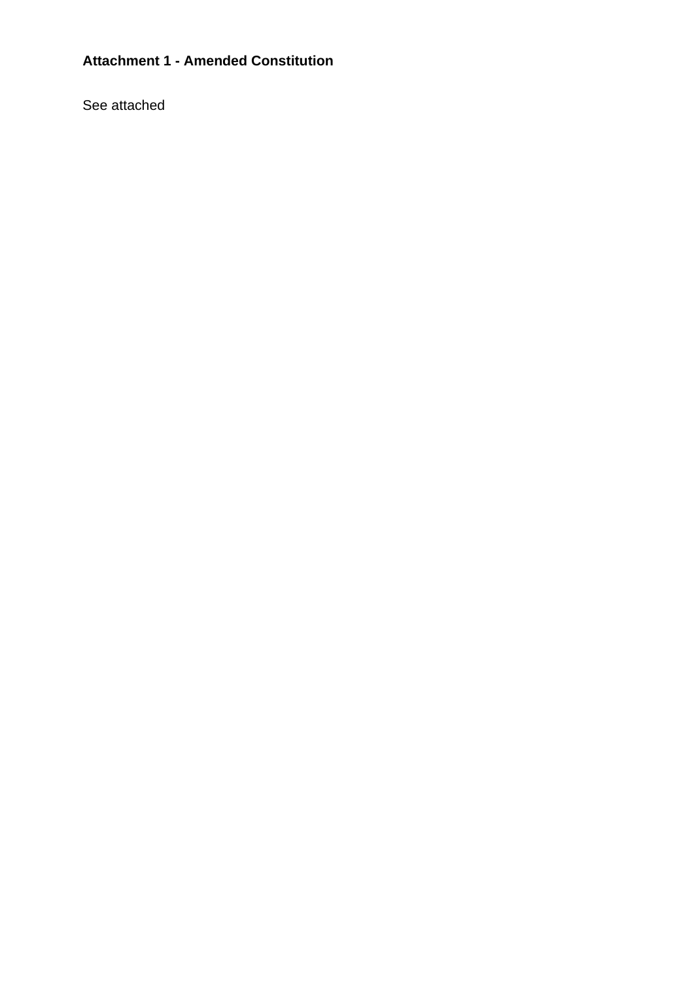# **Attachment 1 - Amended Constitution**

See attached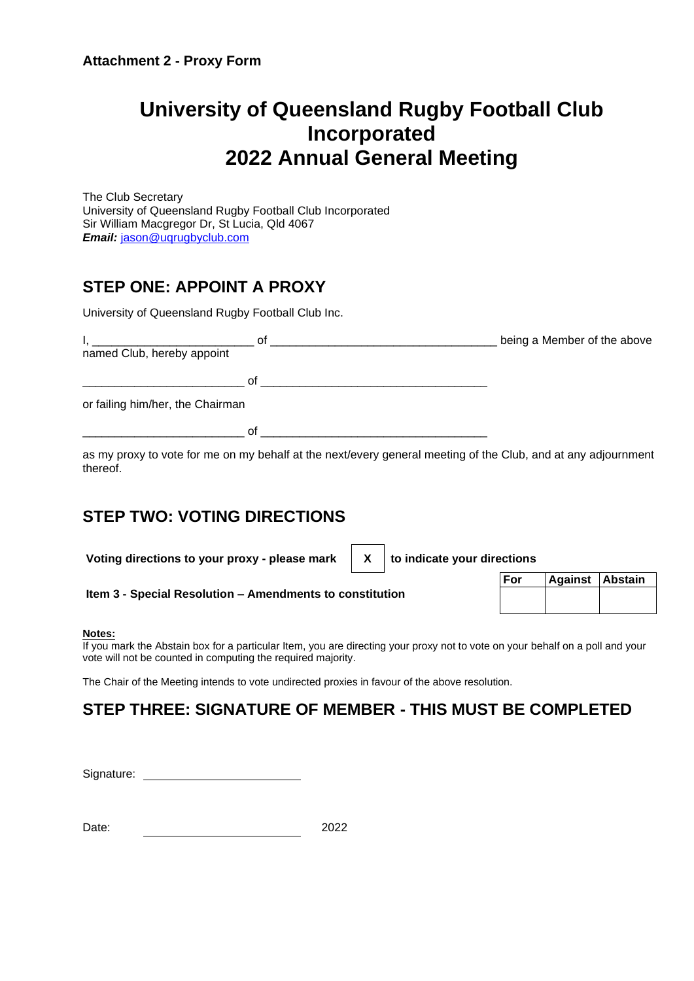# **University of Queensland Rugby Football Club Incorporated 2022 Annual General Meeting**

The Club Secretary University of Queensland Rugby Football Club Incorporated Sir William Macgregor Dr, St Lucia, Qld 4067 *Email:* [jason@uqrugbyclub.com](mailto:jason@uqrugbyclub.com)

# **STEP ONE: APPOINT A PROXY**

University of Queensland Rugby Football Club Inc.

|                                  | Οt | being a Member of the above |
|----------------------------------|----|-----------------------------|
| named Club, hereby appoint       |    |                             |
|                                  |    |                             |
|                                  | Ωt |                             |
| or failing him/her, the Chairman |    |                             |
|                                  | Ωf |                             |

as my proxy to vote for me on my behalf at the next/every general meeting of the Club, and at any adjournment thereof.

# **STEP TWO: VOTING DIRECTIONS**

Voting directions to your proxy - please mark  $\parallel$  X  $\parallel$  to indicate your directions

**Item 3 - Special Resolution – Amendments to constitution**

| For | Against Abstain |  |
|-----|-----------------|--|
|     |                 |  |
|     |                 |  |

### **Notes:**

If you mark the Abstain box for a particular Item, you are directing your proxy not to vote on your behalf on a poll and your vote will not be counted in computing the required majority.

The Chair of the Meeting intends to vote undirected proxies in favour of the above resolution.

# **STEP THREE: SIGNATURE OF MEMBER - THIS MUST BE COMPLETED**

Signature:

| Date: |  | 2022 |
|-------|--|------|
|-------|--|------|